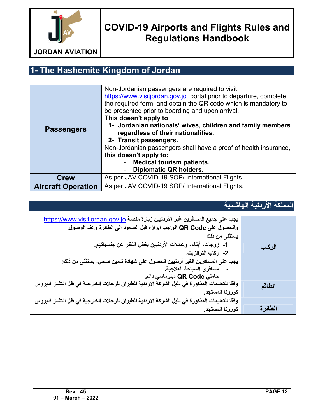

# **1- The Hashemite Kingdom of Jordan**

| <b>Passengers</b>         | Non-Jordanian passengers are required to visit<br>https://www.visitjordan.gov.jo portal prior to departure, complete<br>the required form, and obtain the QR code which is mandatory to<br>be presented prior to boarding and upon arrival.<br>This doesn't apply to<br>1- Jordanian nationals' wives, children and family members<br>regardless of their nationalities.<br>2- Transit passengers. |
|---------------------------|----------------------------------------------------------------------------------------------------------------------------------------------------------------------------------------------------------------------------------------------------------------------------------------------------------------------------------------------------------------------------------------------------|
|                           | Non-Jordanian passengers shall have a proof of health insurance,<br>this doesn't apply to:                                                                                                                                                                                                                                                                                                         |
|                           | <b>Medical tourism patients.</b>                                                                                                                                                                                                                                                                                                                                                                   |
|                           | <b>Diplomatic QR holders.</b>                                                                                                                                                                                                                                                                                                                                                                      |
| <b>Crew</b>               | As per JAV COVID-19 SOP/ International Flights.                                                                                                                                                                                                                                                                                                                                                    |
| <b>Aircraft Operation</b> | As per JAV COVID-19 SOP/ International Flights.                                                                                                                                                                                                                                                                                                                                                    |

#### **المملكة الأردنیة الھاشمیة**

| يجب على جميع المسافرين غير الأردنيين زيارة منصة https://www.visitjordan.gov.jo<br>والحصول على QR Code الواجب ابرازه فبل الصعود الى الطائرة وعند الوصول.<br>يستثنى من ذلك<br>1-  زوجات، أبناء، وعائلات الأردنيين بغض النظر عن جنسياتهم.<br>2- ركاب الترانزيت.<br>يجب على المسافرين الغير أردنيين الحصول على شهادة تأمين صحي، يستثنى من ذلك:<br>مسافر يالسياحة العلاجية.<br>حاملي QR Code دبلوماسي دائم. | الركاب   |
|--------------------------------------------------------------------------------------------------------------------------------------------------------------------------------------------------------------------------------------------------------------------------------------------------------------------------------------------------------------------------------------------------------|----------|
| وفقا للتعليمات المذكورة في دليل الشركة الأردنية للطيران للرحلات الخارجية في ظل انتشار فايروس<br>كورونا المستجد.                                                                                                                                                                                                                                                                                        | الطاقم   |
| وفقا للتعليمات المذكورة في دليل الشركة الأردنية للطيران للرحلات الخارجية في ظل انتشار فايروس<br>كورونا المستجد.                                                                                                                                                                                                                                                                                        | الطائر ة |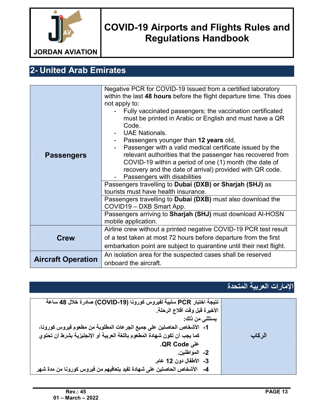

# **2- United Arab Emirates**

| <b>Passengers</b>         | Negative PCR for COVID-19 Issued from a certified laboratory<br>within the last 48 hours before the flight departure time. This does<br>not apply to:<br>Fully vaccinated passengers; the vaccination certificated<br>must be printed in Arabic or English and must have a QR<br>Code.<br><b>UAE Nationals.</b><br>- Passengers younger than 12 years old,<br>Passenger with a valid medical certificate issued by the<br>relevant authorities that the passenger has recovered from<br>COVID-19 within a period of one (1) month (the date of<br>recovery and the date of arrival) provided with QR code.<br>Passengers with disabilities<br>Passengers travelling to Dubai (DXB) or Sharjah (SHJ) as<br>tourists must have health insurance.<br>Passengers travelling to <b>Dubai (DXB)</b> must also download the<br>COVID19 - DXB Smart App.<br>Passengers arriving to Sharjah (SHJ) must download Al-HOSN<br>mobile application. |  |
|---------------------------|---------------------------------------------------------------------------------------------------------------------------------------------------------------------------------------------------------------------------------------------------------------------------------------------------------------------------------------------------------------------------------------------------------------------------------------------------------------------------------------------------------------------------------------------------------------------------------------------------------------------------------------------------------------------------------------------------------------------------------------------------------------------------------------------------------------------------------------------------------------------------------------------------------------------------------------|--|
|                           | Airline crew without a printed negative COVID-19 PCR test result                                                                                                                                                                                                                                                                                                                                                                                                                                                                                                                                                                                                                                                                                                                                                                                                                                                                      |  |
| <b>Crew</b>               | of a test taken at most 72 hours before departure from the first<br>embarkation point are subject to quarantine until their next flight.                                                                                                                                                                                                                                                                                                                                                                                                                                                                                                                                                                                                                                                                                                                                                                                              |  |
|                           | An isolation area for the suspected cases shall be reserved                                                                                                                                                                                                                                                                                                                                                                                                                                                                                                                                                                                                                                                                                                                                                                                                                                                                           |  |
| <b>Aircraft Operation</b> | onboard the aircraft.                                                                                                                                                                                                                                                                                                                                                                                                                                                                                                                                                                                                                                                                                                                                                                                                                                                                                                                 |  |

#### **الإمارات العربیة المتحدة**

| نتيجة اختبار PCR سلبية لفيروس كورونا (COVID-19) صادرة خلال 48 ساعة        |        |
|---------------------------------------------------------------------------|--------|
| الأخيرة قبل وقت اقلاع الرحلة.                                             |        |
| يستثنى من ذلك:                                                            |        |
| 1- الأشخاص الحاصلين على جميع الجرعات المطلوبة من مطعوم فيروس كورونا،      |        |
| كما يجب أن تكون شهادة المطعوم باللغة العربية أو الإنجليزية بشرط أن تحتوي  | الركاب |
| على QR Code.                                                              |        |
| 2- المواطنين.                                                             |        |
| 3- الأطفال دون 12 عام.                                                    |        |
| 4-    الأشخاص الحاصلين على شهادة تفيد بتعافيهم من فيروس كورونا من مدة شهر |        |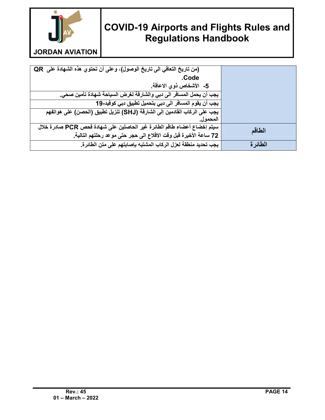

**JORDAN AVIATION**

| (من تاريخ التعافي الى تاريخ الوصول)، وعلى أن تحتوي هذه الشهادة على QR                |         |
|--------------------------------------------------------------------------------------|---------|
| .Code                                                                                |         |
| 5- الأشخاص ذوى الاعاقة.                                                              |         |
| يجب أن يحمل المسافر الى دبي والشارقة لغرض السياحة شهادة تأمين صحي.                   |         |
| يجب أن يقوم المسافر الى دبي بتحميل تطبيق دبي كوفيد-19                                |         |
| <del>يجب على</del> الركاب الفادمين إلى الشارقة (SHJ) تنزيل تطبيق (الحصن) على هواتفهم |         |
| المحمول.                                                                             |         |
| سيتم إخضاع أعضاء طاقم الطائرة غير الحاصلين على شهادة فحص PCR صادرة خلال              | الطاقم  |
| 72 ساعة الأخيرة قبل وقت الاقلاع الى حجر حتى موعد رحلتهم التالية.                     |         |
| يجب تحديد منطقة لعزل الركاب المشتبه بإصابتهم على متن الطائرة.                        | الطائرة |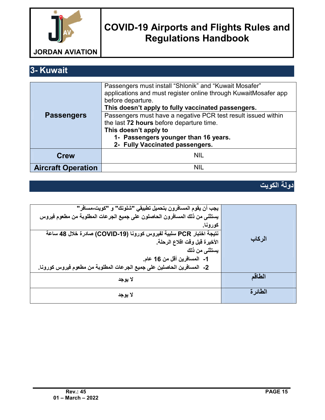

**3- Kuwait** 

|                           | Passengers must install "Shlonik" and "Kuwait Mosafer"<br>applications and must register online through KuwaitMosafer app<br>before departure. |
|---------------------------|------------------------------------------------------------------------------------------------------------------------------------------------|
| <b>Passengers</b>         | This doesn't apply to fully vaccinated passengers.<br>Passengers must have a negative PCR test result issued within                            |
|                           | the last 72 hours before departure time.<br>This doesn't apply to                                                                              |
|                           | 1- Passengers younger than 16 years.<br>2- Fully Vaccinated passengers.                                                                        |
| <b>Crew</b>               | <b>NIL</b>                                                                                                                                     |
| <b>Aircraft Operation</b> | NII.                                                                                                                                           |

#### **دولة الكویت**

| يجِب أن يقوم المسافرون بتحميل تطبيقي "شلونك" و "كويت-مسافر"<br>يستثنى من ذلك المسافرون الحاصلون على جميع الجرعات المطلوبة من مطعوم فيروس<br>كورونا. |          |
|-----------------------------------------------------------------------------------------------------------------------------------------------------|----------|
| نَتَيْجِةَ اخْتَبَار PCR سَلْبِيَةَ لِفَيْروس كورونا (COVID-19) صادرة خلال 48 ساعة<br>الأخيرة قبل وقت اقلاع الرحلة.<br>يستثنى من ذلك                | الركاب   |
| 1- المسافرين أقل من 16 عام.<br>2-  المسافرين الحاصلين على جميع الجرعات المطلوبة من مطعوم فيروس كورونا.                                              |          |
| لا يوجد                                                                                                                                             | الطاقم   |
| لا يوجد                                                                                                                                             | الطائر ة |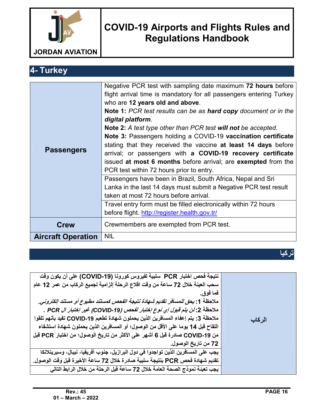

**4- Turkey**

|                           | Negative PCR test with sampling date maximum 72 hours before                  |
|---------------------------|-------------------------------------------------------------------------------|
|                           | flight arrival time is mandatory for all passengers entering Turkey           |
|                           | who are 12 years old and above.                                               |
|                           | <b>Note 1:</b> PCR test results can be as <b>hard copy</b> document or in the |
|                           | digital platform.                                                             |
|                           | <b>Note 2:</b> A test type other than PCR test will not be accepted.          |
|                           | Note 3: Passengers holding a COVID-19 vaccination certificate                 |
|                           | stating that they received the vaccine at least 14 days before                |
| <b>Passengers</b>         | arrival; or passengers with a COVID-19 recovery certificate                   |
|                           | issued at most 6 months before arrival; are exempted from the                 |
|                           | PCR test within 72 hours prior to entry.                                      |
|                           | Passengers have been in Brazil, South Africa, Nepal and Sri                   |
|                           | Lanka in the last 14 days must submit a Negative PCR test result              |
|                           | taken at most 72 hours before arrival.                                        |
|                           | Travel entry form must be filled electronically within 72 hours               |
|                           | before flight. http://register.health.gov.tr/                                 |
| <b>Crew</b>               | Crewmembers are exempted from PCR test.                                       |
|                           |                                                                               |
| <b>Aircraft Operation</b> | <b>NIL</b>                                                                    |

**تركیا**

| نتيجة فحص اختبار PCR   سلبية لفيروس كورونـا (COVID-19) على أن يكون وفّت<br>سحب العينة خلال 72 ساعة من وفت افلاع الرحلة إلزامية لجميع الركاب من عمر 12 عام           |        |
|---------------------------------------------------------------------------------------------------------------------------------------------------------------------|--------|
| فما فوق.                                                                                                                                                            |        |
| ملاحظة 1: يحق للمسافر تقديم شهادة نتيجة الفحص كمستند مطبوع أو مستند الكتروني.<br>ملاحظة 2: لن يتم قبول إي نوع إختبار لفحص (COVID-19) غير إختبار ال PCR .            |        |
| ملاحظة 3: يتم إعفاء المسافرين الذين يحملون شهادة تطعيم COVID-19 تفيد بأنهم تلقوا<br>اللقاح قبل 14 يوما على الأقل من الوصول؛ أو المسافرين الذين يحملون شهادة استشفاء | الركاب |
| من COVID-19 صادرة قبل 6 أشهر على الأكثر من تاريخ الوصول؛ من اختبار PCR قبل                                                                                          |        |
| 72 من تاريخ الوصول.<br>يجب على المسافرين الذين تواجدوا في دول البرازيل، جنوب أفريقيا، نيبال، وسيرينلانكا                                                            |        |
| تقديم شهادة فحص PCR بنتيجة سلبية صادرة خلال 72 ساعة الأخيرة فبل وفت الوصول.                                                                                         |        |
| يجب تعبئة نموذج الصحة العامة خلال 72 ساعة قبل الرحلة من خلال الرابط التالي                                                                                          |        |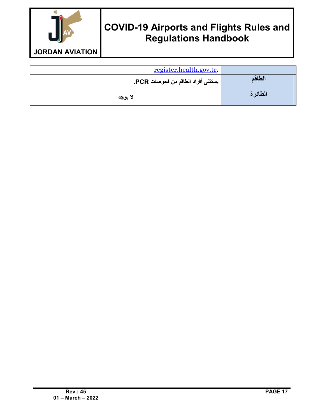

| register.health.gov.tr.            |         |
|------------------------------------|---------|
| يستثنى أفراد الطاقم من فحوصات PCR. | الطاقم  |
| لا يوجد                            | الطائرة |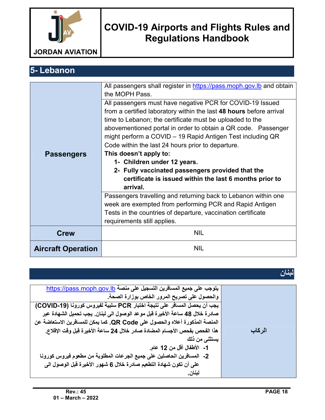

**5- Lebanon**

|                           | All passengers shall register in https://pass.moph.gov.lb and obtain<br>the MOPH Pass.<br>All passengers must have negative PCR for COVID-19 Issued                                                                                                                                                                 |  |
|---------------------------|---------------------------------------------------------------------------------------------------------------------------------------------------------------------------------------------------------------------------------------------------------------------------------------------------------------------|--|
|                           | from a certified laboratory within the last 48 hours before arrival<br>time to Lebanon; the certificate must be uploaded to the<br>abovementioned portal in order to obtain a QR code. Passenger<br>might perform a COVID – 19 Rapid Antigen Test including QR<br>Code within the last 24 hours prior to departure. |  |
| <b>Passengers</b>         | This doesn't apply to:<br>1- Children under 12 years.<br>2- Fully vaccinated passengers provided that the<br>certificate is issued within the last 6 months prior to<br>arrival.                                                                                                                                    |  |
|                           | Passengers travelling and returning back to Lebanon within one<br>week are exempted from performing PCR and Rapid Antigen<br>Tests in the countries of departure, vaccination certificate<br>requirements still applies.                                                                                            |  |
| <b>Crew</b>               | <b>NIL</b>                                                                                                                                                                                                                                                                                                          |  |
| <b>Aircraft Operation</b> | <b>NIL</b>                                                                                                                                                                                                                                                                                                          |  |

**لبنان**

| يتوجب على جميع المسافرين التسجيل على منصة https://pass.moph.gov.lb          |        |
|-----------------------------------------------------------------------------|--------|
| والحصول على تصريح المرور الخاص بوزارة الصحة.                                |        |
| يجب أن يحصل المسافر على نتيجة اختبار PCR سلبية لفيروس كورونا (COVID-19)     |        |
| صادرة خلال 48 ساعة الأخيرة قبل موعد الوصول الى لبنان. يجب تحميل الشهادة عبر |        |
| المنصة المذكورة أعلاه والحصول على QR Code. كما يمكن للمسافرين الاستعاضة عن  |        |
| هذا الفحص بفحص الأجسام المضادة صادر خلال 24 ساعة الأخيرة قبل وقت الإقلاع.   | الركاب |
| يستثنى من ذلك                                                               |        |
| 1- الأطفال أقل من 12 عام.                                                   |        |
| 2- المسافرين الحاصلين على جميع الجرعات المطلوبة من مطعوم فيروس كورونا       |        |
| على أن تكون شهادة التطعيم صادرة خلال 6 شهور الأخيرة قبل الوصول الى          |        |
| لبنان.                                                                      |        |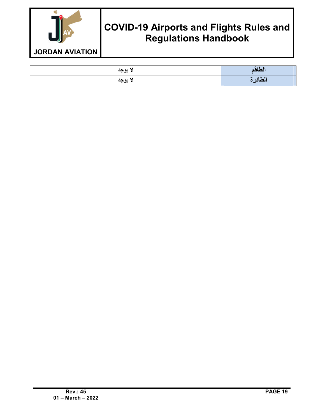

| لا يوجد | الطاقم  |
|---------|---------|
| لا يوجد | الطائرة |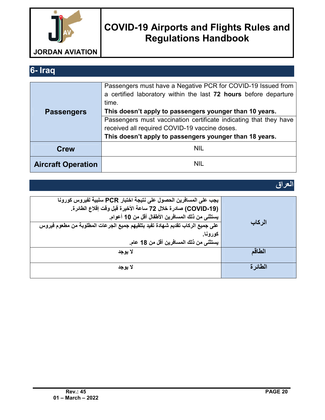

### **6- Iraq**

|                           | Passengers must have a Negative PCR for COVID-19 Issued from      |  |
|---------------------------|-------------------------------------------------------------------|--|
|                           | a certified laboratory within the last 72 hours before departure  |  |
|                           | time.                                                             |  |
| <b>Passengers</b>         | This doesn't apply to passengers younger than 10 years.           |  |
|                           | Passengers must vaccination certificate indicating that they have |  |
|                           | received all required COVID-19 vaccine doses.                     |  |
|                           | This doesn't apply to passengers younger than 18 years.           |  |
| <b>Crew</b>               | <b>NIL</b>                                                        |  |
|                           |                                                                   |  |
| <b>Aircraft Operation</b> | <b>NIL</b>                                                        |  |
|                           |                                                                   |  |

#### **العراق**

| يجب على المسافرين الحصول على نتيجة اختبار PCR سلبية لفيروس كورونا             |         |
|-------------------------------------------------------------------------------|---------|
| (COVID-19) صادرة خلال 72 ساعة الأخيرة فبل وفت إفلاع الطائرة.                  |         |
| يستثني من ذلك المسافرين الأطفال أقل من 10 أعوام.                              |         |
| على جميع الركاب تقديم شهادة تفيد بتلقيهم جميع الجرعات المطلوبة من مطعوم فيروس | الركاب  |
| كورونا.                                                                       |         |
| يستثني من ذلك المسافرين أقل من 18 عام.                                        |         |
| لا يوجد                                                                       | الطاقم  |
|                                                                               |         |
| لا يوجد                                                                       | الطائرة |
|                                                                               |         |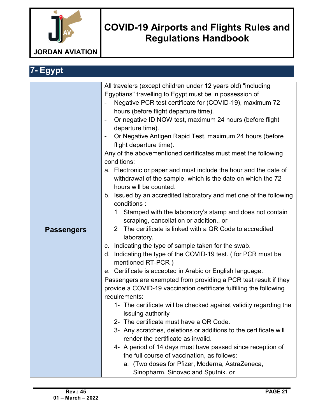

#### **7- Egypt Passengers** All travelers (except children under 12 years old) "including Egyptians" travelling to Egypt must be in possession of Negative PCR test certificate for (COVID-19), maximum 72 hours (before flight departure time). - Or negative ID NOW test, maximum 24 hours (before flight departure time). - Or Negative Antigen Rapid Test, maximum 24 hours (before flight departure time). Any of the abovementioned certificates must meet the following conditions: a. Electronic or paper and must include the hour and the date of withdrawal of the sample, which is the date on which the 72 hours will be counted. b. Issued by an accredited laboratory and met one of the following conditions : 1 Stamped with the laboratory's stamp and does not contain scraping, cancellation or addition., or 2 The certificate is linked with a QR Code to accredited laboratory. c. Indicating the type of sample taken for the swab. d. Indicating the type of the COVID-19 test. ( for PCR must be mentioned RT-PCR ) e. Certificate is accepted in Arabic or English language. Passengers are exempted from providing a PCR test result if they provide a COVID-19 vaccination certificate fulfilling the following requirements: 1- The certificate will be checked against validity regarding the issuing authority 2- The certificate must have a QR Code. 3- Any scratches, deletions or additions to the certificate will render the certificate as invalid. 4- A period of 14 days must have passed since reception of the full course of vaccination, as follows: a. (Two doses for Pfizer, Moderna, AstraZeneca, Sinopharm, Sinovac and Sputnik. or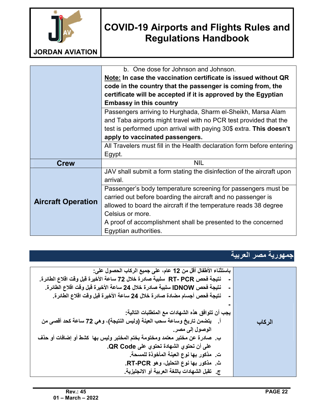

|                           | b. One dose for Johnson and Johnson.                                   |
|---------------------------|------------------------------------------------------------------------|
|                           | Note: In case the vaccination certificate is issued without QR         |
|                           | code in the country that the passenger is coming from, the             |
|                           | certificate will be accepted if it is approved by the Egyptian         |
|                           | <b>Embassy in this country</b>                                         |
|                           | Passengers arriving to Hurghada, Sharm el-Sheikh, Marsa Alam           |
|                           | and Taba airports might travel with no PCR test provided that the      |
|                           | test is performed upon arrival with paying 30\$ extra. This doesn't    |
|                           | apply to vaccinated passengers.                                        |
|                           | All Travelers must fill in the Health declaration form before entering |
|                           | Egypt.                                                                 |
| <b>Crew</b>               | <b>NIL</b>                                                             |
|                           | JAV shall submit a form stating the disinfection of the aircraft upon  |
|                           | arrival.                                                               |
|                           | Passenger's body temperature screening for passengers must be          |
|                           | carried out before boarding the aircraft and no passenger is           |
| <b>Aircraft Operation</b> | allowed to board the aircraft if the temperature reads 38 degree       |
|                           | Celsius or more.                                                       |
|                           | A proof of accomplishment shall be presented to the concerned          |
|                           | Egyptian authorities.                                                  |

#### **جمھوریة مصر العربیة**

| باستثناء الأطفال أقل من 12 عام، على جميع الركاب الحصول على:                 |        |
|-----------------------------------------------------------------------------|--------|
| نتيجة فحص RT- PCR   سلبية صادرة خلال 72 ساعة الأخيرة قبل وقت اقلاع الطائرة. |        |
| نتيجة فحص IDNOW سلبية صادرة خلال 24 ساعة الأخيرة قبل وقت اقلاع الطائرة.     |        |
| نتيجة فحص أجسام مضادة صادرة خلال 24 ساعة الأخيرة قبل وقت اقلاع الطائرة.     |        |
|                                                                             |        |
| يجب أن تتوافق هذه الشهادات مع المتطلبات التالية:                            |        |
| أ.     يتضمن تاريخ وساعة سحب العينة (وليس النتيجة)، وهي 72 ساعة كحد أقصى من | الركاب |
| الوصول إلى مصر .                                                            |        |
| ب. صادرة عن مختبر معتمد ومختومة بختم المختبر وليس بها كشط أو إضافات أو حذف  |        |
| على أن تحتوي الشهادة تحتوي على QR Code.                                     |        |
| ت. مذكور بها نوع العينة المأخوذة للمسحة.                                    |        |
| ث. مذكور بها نوع التحليل، وهو RT-PCR.                                       |        |
| ج_ تقبل الشهادات باللغة العربية أو الانجليزية_                              |        |
|                                                                             |        |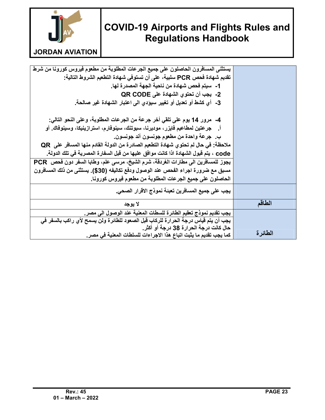

#### **JORDAN AVIATION**

| يستثنى المسافرون الحاصلون على جميع الجرعات المطلوبة من مطعوم فيروس كورونا من شرط     |         |
|--------------------------------------------------------------------------------------|---------|
| تقديم شـهادة فحص PCR سلبية، على أن تستوفي شـهادة التطعيم الشروط التالية:             |         |
| 1-   سيتم فحص شهادة من ناحية الجهة المصدرة لها.                                      |         |
| 2- يجب أن تحتوي الشهادة على QR CODE                                                  |         |
| 3-  أي كشط أو تعديل أو تغيير سيؤدي الى اعتبار الشهادة غير صالحة.                     |         |
|                                                                                      |         |
| 4-   مرور 14 يوم على تلقى أخر جرعة من الجرعات المطلوبة، وعلى النحو التالي:           |         |
| أ .    جر عتين لمطاعيم فايزر ، موديرنـا، سبوتنك، سينوفارم، استرازينيكا، وسينوفاك. أو |         |
| بِ. جِرعة واحدة من مطعوم جونسون أند جونسون.                                          |         |
| ملاحظة: في حال لم تحتوي شهادة التطعيم الصادرة من الدولة القادم منها المسافر على  QR  |         |
| COde ، يتم قبول الشهادة اذا كانت موافق عليها من قبل السفارة المصرية في تلك الدولة.   |         |
| يجوز للمسافرين الى مطارات الغردقة، شرم الشيخ، مرسى علم، وطابا السفر دون فحص  PCR     |         |
| مسبق مع ضرورة اجراء الفحص عند الوصول ودفع تكاليفه (30\$). يستثنى من ذلك المسافرون    |         |
| الحاصلون على جميع الجرعات المطلوبة من مطعوم فيروس كورونا.                            |         |
| يجب على جميع المسافرين تعبئة نموذج الاقرار الصحي.                                    |         |
| لا يوجد                                                                              | الطاقم  |
| يجب تقديم نموذج تعقيم الطائرة للسطات المعنية عند الوصول الى مصر.                     |         |
| يجب أن يتم قياس درجة الحرارة للركاب قبل الصعود للطائرة ولن يسمح لأي راكب بالسفر في   |         |
| حال كانت درجة الحرارة 38 درجة أو أكثر.                                               |         |
| كما يجب تقديم ما يثبت اتباع هذا الاجراءات للسلطات المعنية في مصر .                   | الطائرة |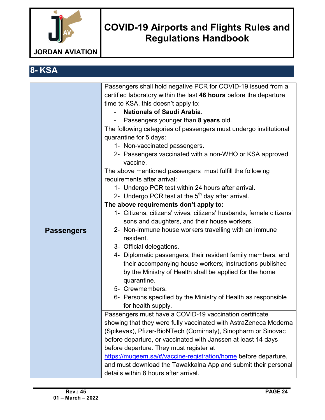

| 8-KSA             |                                                                                                                                                                                                                                                                                                                                                                                                                                                                                                                                                                                                                                                                                                                                                                                                                                                                                                                                                                                                                                                                                                                                                                                                                                                                                                                                                                                                                                                                                                                                                                                                                                                                                                                                                     |
|-------------------|-----------------------------------------------------------------------------------------------------------------------------------------------------------------------------------------------------------------------------------------------------------------------------------------------------------------------------------------------------------------------------------------------------------------------------------------------------------------------------------------------------------------------------------------------------------------------------------------------------------------------------------------------------------------------------------------------------------------------------------------------------------------------------------------------------------------------------------------------------------------------------------------------------------------------------------------------------------------------------------------------------------------------------------------------------------------------------------------------------------------------------------------------------------------------------------------------------------------------------------------------------------------------------------------------------------------------------------------------------------------------------------------------------------------------------------------------------------------------------------------------------------------------------------------------------------------------------------------------------------------------------------------------------------------------------------------------------------------------------------------------------|
| <b>Passengers</b> | Passengers shall hold negative PCR for COVID-19 issued from a<br>certified laboratory within the last 48 hours before the departure<br>time to KSA, this doesn't apply to:<br><b>Nationals of Saudi Arabia.</b><br>Passengers younger than 8 years old.<br>The following categories of passengers must undergo institutional<br>quarantine for 5 days:<br>1- Non-vaccinated passengers.<br>2- Passengers vaccinated with a non-WHO or KSA approved<br>vaccine.<br>The above mentioned passengers must fulfill the following<br>requirements after arrival:<br>1- Undergo PCR test within 24 hours after arrival.<br>2- Undergo PCR test at the $5th$ day after arrival.<br>The above requirements don't apply to:<br>1- Citizens, citizens' wives, citizens' husbands, female citizens'<br>sons and daughters, and their house workers.<br>2- Non-immune house workers travelling with an immune<br>resident.<br>3- Official delegations.<br>4- Diplomatic passengers, their resident family members, and<br>their accompanying house workers; instructions published<br>by the Ministry of Health shall be applied for the home<br>quarantine.<br>5- Crewmembers.<br>6- Persons specified by the Ministry of Health as responsible<br>for health supply.<br>Passengers must have a COVID-19 vaccination certificate<br>showing that they were fully vaccinated with AstraZeneca Moderna<br>(Spikevax), Pfizer-BioNTech (Comirnaty), Sinopharm or Sinovac<br>before departure, or vaccinated with Janssen at least 14 days<br>before departure. They must register at<br>https://muqeem.sa/#/vaccine-registration/home before departure,<br>and must download the Tawakkalna App and submit their personal<br>details within 8 hours after arrival. |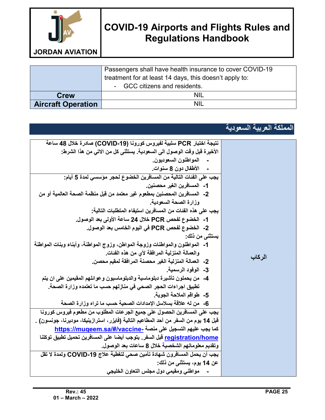

Passengers shall have health insurance to cover COVID-19 treatment for at least 14 days, this doesn't apply to: - GCC citizens and residents. **Crew NIL NIL Report of the Crew NIL Report of the Crew NIL NIL Report of the Crew NIL NIL Report of the Crew NIL Aircraft Operation** 

#### **المملكة العربیة السعودیة**

| نتيجة اختبار PCR سلبية لفيروس كورونا (COVID-19) صادرة خلال 48 ساعة<br>الأخيرة قبل وقت الوصول الى السعودية. يستثنى كل من الاتى من هذا الشرط:<br>ـ     المواطنون السعوديون.<br>ـ     الأطفال دون 8 سنوات.<br>يجِبِ على الفَنات التالية من المسافرين الخضوع لحجر مؤسسى لمدة 5 أيام:<br>1- المسافرين الغير محصنين.<br>2-   المسافرين المحصنين بمطعوم غير معتمد من قبل منظمة الصحة العالمية أو من<br>وزارة الصحة السعودية.<br>يجب على هذه الفئات من المسافرين استيفاء المتطلبات التالية:<br>1-   الخضوع لفحص PCR خلال 24 ساعة الأولى بعد الوصول.<br>2- الخضوع لفحص PCR في اليوم الخامس بعد الوصول.<br>يستثنى من ذلك:<br>1-   المواطنون والمواطنات وزوجة المواطن، وزوج المواطنة، وأبناء وبنات المواطنة<br>والعمالة المنزلية المرافقة لأي من هذه الفنات.<br>2-   العمالة المنزلية الغير محصنة المرافقة لمقيم محصن.<br>3- الوفود الرسمية.<br>4-   من يحملون تأشيرة دبلوماسية والدبلوماسيون وعوائلهم المقيمين على ان يتم<br>تطبيق اجراءات الحجر الصحى في منازلهم حسب ما تعتمده وزارة الصحة.<br>5- _طواقم الملاحة الجوية.<br>6-   من لـه علاقة بسلاسل الإمدادات الصحية حسب ما تراه وزارة الصحة<br>يجب على المسافرين الحصول على جميع الجرعات المطلوب من مطعوم فيروس كورونا<br>قبل 14 يوم من السفر من أحد المطاعيم التالية (فايزر، استرازينيكا، موديرنا، جونسون) .<br>كما يجب عليهم التسجيل على منصة -https://muqeem.sa/#/vaccine<br>registration/home قبل السفر . يتوجب أيضا على المسافرين تحميل تطبيق توكلنا<br>وتقديم معلوماتهم الشخصية خلال 8 ساعات بعد الوصول.<br>يجب أن يحمل المسافرون شهادة تأمين صحى لتغطية علاج COVID-19 ولمدة لا تقل | الركاب |
|------------------------------------------------------------------------------------------------------------------------------------------------------------------------------------------------------------------------------------------------------------------------------------------------------------------------------------------------------------------------------------------------------------------------------------------------------------------------------------------------------------------------------------------------------------------------------------------------------------------------------------------------------------------------------------------------------------------------------------------------------------------------------------------------------------------------------------------------------------------------------------------------------------------------------------------------------------------------------------------------------------------------------------------------------------------------------------------------------------------------------------------------------------------------------------------------------------------------------------------------------------------------------------------------------------------------------------------------------------------------------------------------------------------------------------------------------------------------------------------------------------------------------------|--------|
| عن 14 يوم، يستثني من ذلك:                                                                                                                                                                                                                                                                                                                                                                                                                                                                                                                                                                                                                                                                                                                                                                                                                                                                                                                                                                                                                                                                                                                                                                                                                                                                                                                                                                                                                                                                                                          |        |
| مواطني ومقيمي دول مجلس التعاون الخليجي                                                                                                                                                                                                                                                                                                                                                                                                                                                                                                                                                                                                                                                                                                                                                                                                                                                                                                                                                                                                                                                                                                                                                                                                                                                                                                                                                                                                                                                                                             |        |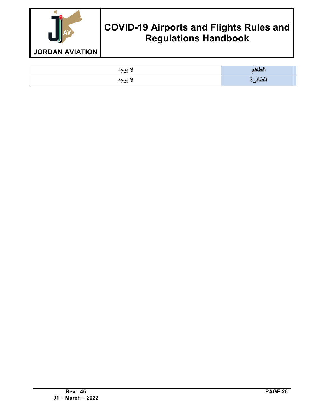

| لا يوجد | الطاقع  |
|---------|---------|
| لا يوجد | الطائرة |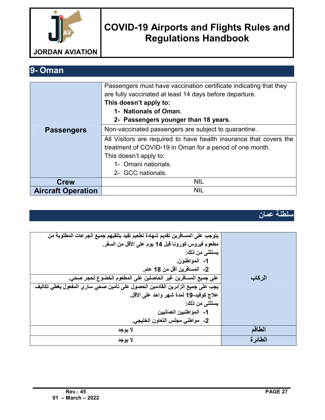

**9- Oman** 

|                           | Passengers must have vaccination certificate indicating that they  |
|---------------------------|--------------------------------------------------------------------|
|                           | are fully vaccinated at least 14 days before departure.            |
|                           | This doesn't apply to:                                             |
|                           | 1- Nationals of Oman.                                              |
|                           | 2- Passengers younger than 18 years.                               |
| <b>Passengers</b>         | Non-vaccinated passengers are subject to quarantine.               |
|                           | All Visitors are required to have health insurance that covers the |
|                           | treatment of COVID-19 in Oman for a period of one month.           |
|                           | This doesn't apply to:                                             |
|                           | 1- Omani nationals.                                                |
|                           | 2- GCC nationals.                                                  |
| <b>Crew</b>               | <b>NIL</b>                                                         |
| <b>Aircraft Operation</b> | <b>NIL</b>                                                         |

**سلطنة عمان**

| يتوجب على المسافرين تقديم شهادة تطعيم تفيد بتلقيهم جميع الجرعات المطلوبة من  |          |
|------------------------------------------------------------------------------|----------|
| مطعوم فيروس كورونـا قبل 14 يوم على الأقل من السفر.                           |          |
| يستثنى من ذلك:                                                               |          |
| 1- المواطنون.                                                                |          |
| 2- المسافرين أقل من 18 عام.                                                  |          |
| على جميع المسافرين غير الحاصلين على المطعوم الخضوع لحجر صحي.                 | الركاب   |
| يجب على جميع الزائرين القادمين الحصول على تأمين صحي ساري المفعول يغطي تكاليف |          |
| علاج كوفيد-19 لمدة شهر واحد على الأقل.                                       |          |
| يستثنى من ذلك:                                                               |          |
| 1- المواطنيين العمانيين                                                      |          |
| 2- مواطني مجلس التعاون الخليجي.                                              |          |
| لا يوجد                                                                      | الطاقم   |
| لا يوجد                                                                      | الطائر ة |